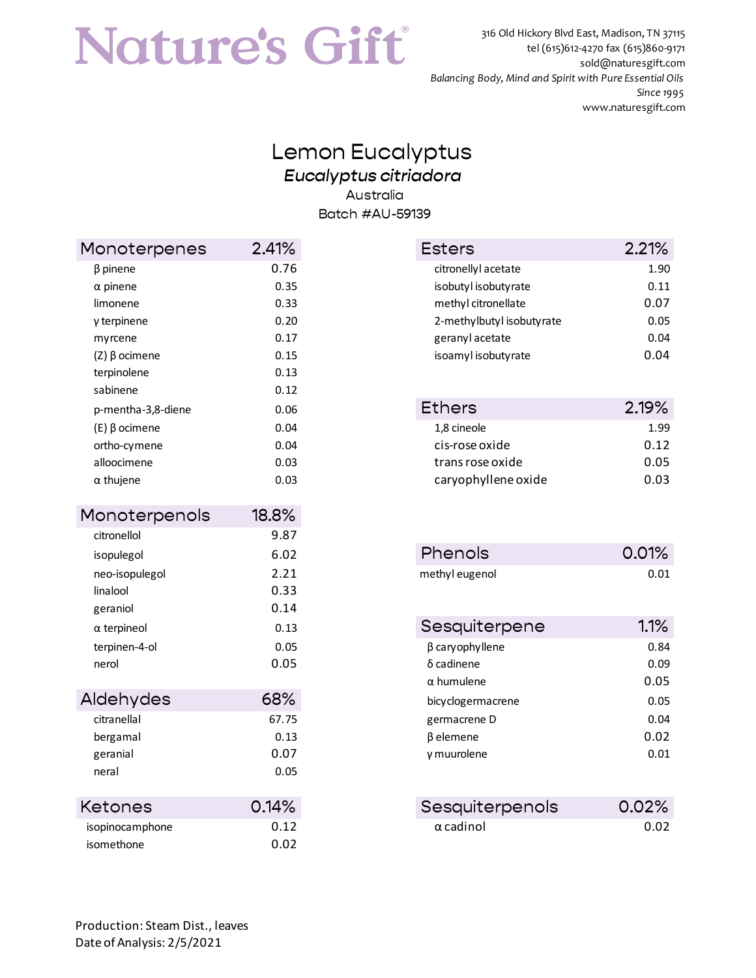## Nature's Gift

 316 Old Hickory Blvd East, Madison, TN 37115 tel (615)612-4270 fax (615)860-9171 sold@naturesgift.com *Balancing Body, Mind and Spirit with Pure Essential Oils Since 1995* www.naturesgift.com

## Lemon Eucalyptus *Eucalyptus citriadora* Australia Batch #AU-59139

| Monoterpenes          | 2.41% |
|-----------------------|-------|
| β pinene              | 0.76  |
| $\alpha$ pinene       | 0.35  |
| limonene              | 0.33  |
| γ terpinene           | 0.20  |
| myrcene               | 0.17  |
| $(Z)$ β ocimene       | 0.15  |
| terpinolene           | 0.13  |
| sabinene              | 0.12  |
| p-mentha-3,8-diene    | 0.06  |
| $(E)$ $\beta$ ocimene | 0.04  |
| ortho-cymene          | 0.04  |
| alloocimene           | 0.03  |
| $\alpha$ thujene      | 0.03  |
| Monoterpenols         | 18.8% |
| citronellol           | 9.87  |
| isopulegol            | 6.02  |
| neo-isopulegol        | 2.21  |
| linalool              | 0.33  |
| geraniol              | 0.14  |
| $\alpha$ terpineol    | 0.13  |
| terpinen-4-ol         | 0.05  |
| nerol                 | 0.05  |
| Aldehydes             | 68%   |
| citranellal           | 67.75 |
|                       | 0.13  |
| bergamal<br>geranial  | 0.07  |
| neral                 | 0.05  |
|                       |       |
| Ketones               | 0.14% |
| isopinocamphone       | 0.12  |
| isomethone            | 0.02  |

| Monoterpenes          | 2.41% | <b>Esters</b>             | 2.21% |
|-----------------------|-------|---------------------------|-------|
| $\beta$ pinene        | 0.76  | citronellyl acetate       | 1.90  |
| $\alpha$ pinene       | 0.35  | isobutyl isobutyrate      | 0.11  |
| limonene              | 0.33  | methyl citronellate       | 0.07  |
| $y$ terpinene         | 0.20  | 2-methylbutyl isobutyrate | 0.05  |
| myrcene               | 0.17  | geranyl acetate           | 0.04  |
| $(Z)$ $\beta$ ocimene | 0.15  | isoamyl isobutyrate       | 0.04  |
|                       |       |                           |       |

| p-mentha-3,8-diene | 0.06 | <b>Ethers</b>       | 2.19% |
|--------------------|------|---------------------|-------|
| (E) β ocimene      | 0.04 | 1,8 cineole         | 1.99  |
| ortho-cymene       | 0.04 | cis-rose oxide      | 0.12  |
| alloocimene        | 0.03 | trans rose oxide    | 0.05  |
| α thujene          | 0.03 | caryophyllene oxide | 0.03  |
|                    |      |                     |       |

| isopulegol     | 6.02 | <b>Phenols</b> | 0.01% |
|----------------|------|----------------|-------|
| neo-isopulegol | 2.21 | methyl eugenol | 0.01  |

| $\alpha$ terpineol | 0.13  | Sesquiterpene          | 1.1%  |
|--------------------|-------|------------------------|-------|
| terpinen-4-ol      | 0.05  | $\beta$ cary ophyllene | 0.84  |
| nerol              | 0.05  | $\delta$ cadinene      | 0.09  |
|                    |       | $\alpha$ humulene      | 0.05  |
| Aldehydes          | 68%   | bicyclogermacrene      | 0.05  |
| citranellal        | 67.75 | germacrene D           | 0.04  |
| bergamal           | 0.13  | β elemene              | 0.02  |
| geranial           | 0.07  | y muurolene            | 0.01  |
| neral              | 0.05  |                        |       |
| Ketones            | 0.14% | Sesquiterpenols        | 0.02% |
|                    |       |                        |       |

| ,,,,,,,,        | .    |                  | . |
|-----------------|------|------------------|---|
| isopinocamphone | 0.12 | $\alpha$ cadinol |   |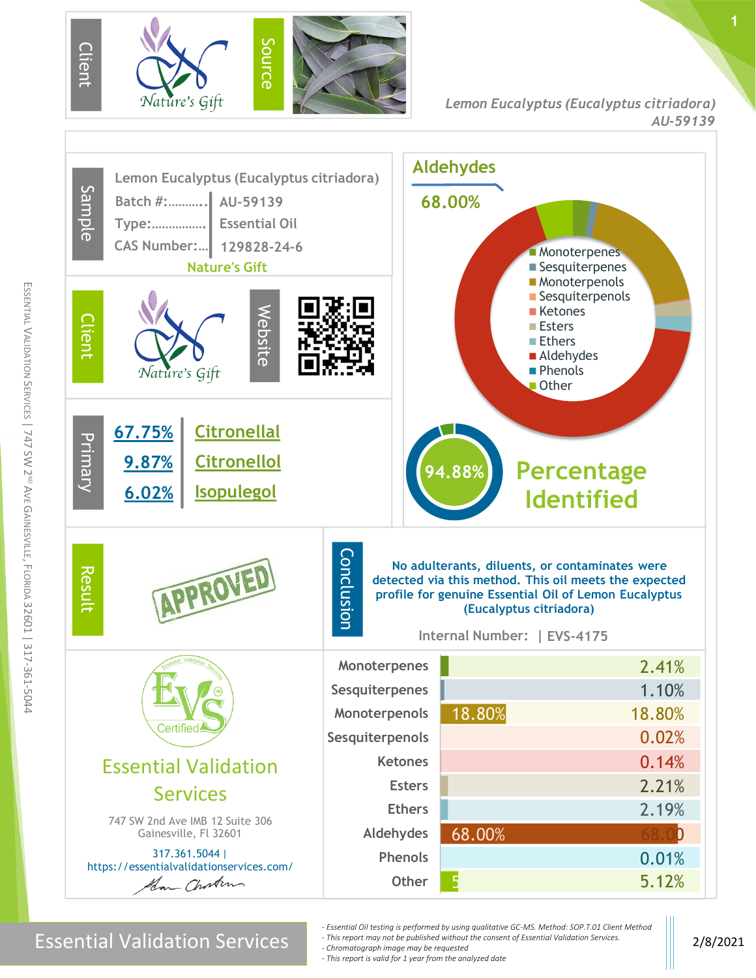

**1**



m

Essential Validation Services 2/8/2021

*- Essential Oil testing is performed by using qualitative GC-MS. Method: SOP.T.01 Client Method - This report may not be published without the consent of Essential Validation Services.*

*- Chromatograph image may be requested*

*- This report is valid for 1 year from the analyzed date*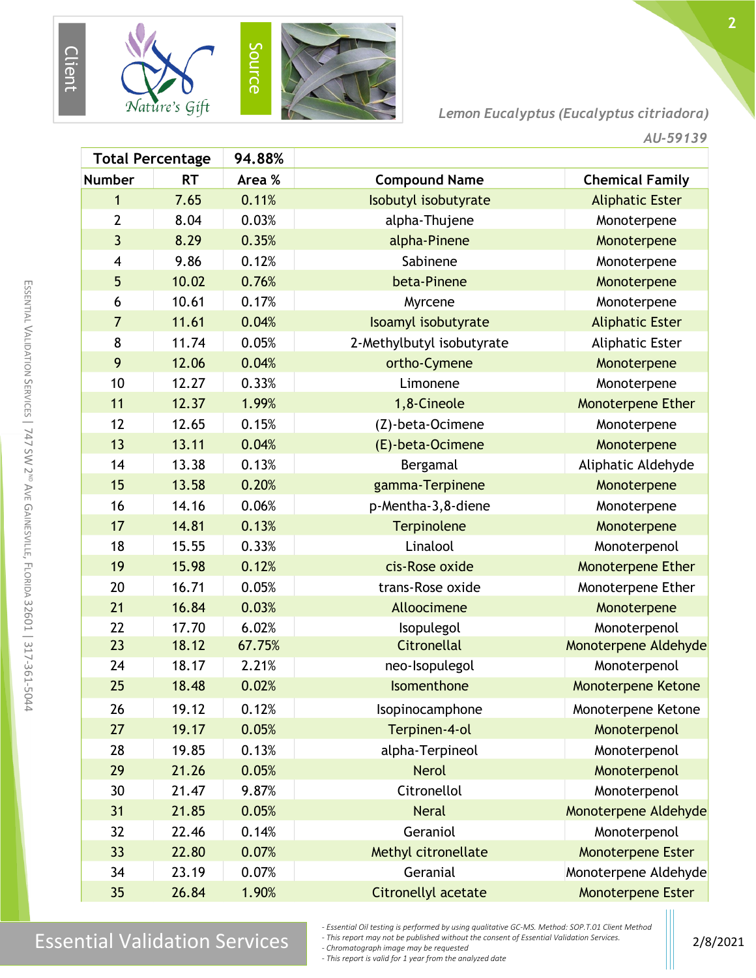

*Lemon Eucalyptus (Eucalyptus citriadora)*

|                         | <b>Total Percentage</b> | 94.88% |                           |                           |
|-------------------------|-------------------------|--------|---------------------------|---------------------------|
| <b>Number</b>           | <b>RT</b>               | Area % | <b>Compound Name</b>      | <b>Chemical Family</b>    |
| 1                       | 7.65                    | 0.11%  | Isobutyl isobutyrate      | <b>Aliphatic Ester</b>    |
| $\overline{2}$          | 8.04                    | 0.03%  | alpha-Thujene             | Monoterpene               |
| $\overline{3}$          | 8.29                    | 0.35%  | alpha-Pinene              | Monoterpene               |
| $\overline{\mathbf{4}}$ | 9.86                    | 0.12%  | Sabinene                  | Monoterpene               |
| 5                       | 10.02                   | 0.76%  | beta-Pinene               | Monoterpene               |
| 6                       | 10.61                   | 0.17%  | Myrcene                   | Monoterpene               |
| $\overline{7}$          | 11.61                   | 0.04%  | Isoamyl isobutyrate       | <b>Aliphatic Ester</b>    |
| 8                       | 11.74                   | 0.05%  | 2-Methylbutyl isobutyrate | <b>Aliphatic Ester</b>    |
| 9                       | 12.06                   | 0.04%  | ortho-Cymene              | Monoterpene               |
| 10                      | 12.27                   | 0.33%  | Limonene                  | Monoterpene               |
| 11                      | 12.37                   | 1.99%  | 1,8-Cineole               | Monoterpene Ether         |
| 12                      | 12.65                   | 0.15%  | (Z)-beta-Ocimene          | Monoterpene               |
| 13                      | 13.11                   | 0.04%  | (E)-beta-Ocimene          | Monoterpene               |
| 14                      | 13.38                   | 0.13%  | Bergamal                  | Aliphatic Aldehyde        |
| 15                      | 13.58                   | 0.20%  | gamma-Terpinene           | Monoterpene               |
| 16                      | 14.16                   | 0.06%  | p-Mentha-3,8-diene        | Monoterpene               |
| 17                      | 14.81                   | 0.13%  | Terpinolene               | Monoterpene               |
| 18                      | 15.55                   | 0.33%  | Linalool                  | Monoterpenol              |
| 19                      | 15.98                   | 0.12%  | cis-Rose oxide            | <b>Monoterpene Ether</b>  |
| 20                      | 16.71                   | 0.05%  | trans-Rose oxide          | Monoterpene Ether         |
| 21                      | 16.84                   | 0.03%  | Alloocimene               | Monoterpene               |
| 22                      | 17.70                   | 6.02%  | Isopulegol                | Monoterpenol              |
| 23                      | 18.12                   | 67.75% | <b>Citronellal</b>        | Monoterpene Aldehyde      |
| 24                      | 18.17                   | 2.21%  | neo-Isopulegol            | Monoterpenol              |
| 25                      | 18.48                   | 0.02%  | Isomenthone               | <b>Monoterpene Ketone</b> |
| 26                      | 19.12                   | 0.12%  | Isopinocamphone           | Monoterpene Ketone        |
| 27                      | 19.17                   | 0.05%  | Terpinen-4-ol             | Monoterpenol              |
| 28                      | 19.85                   | 0.13%  | alpha-Terpineol           | Monoterpenol              |
| 29                      | 21.26                   | 0.05%  | <b>Nerol</b>              | Monoterpenol              |
| 30                      | 21.47                   | 9.87%  | Citronellol               | Monoterpenol              |
| 31                      | 21.85                   | 0.05%  | <b>Neral</b>              | Monoterpene Aldehyde      |
| 32                      | 22.46                   | 0.14%  | Geraniol                  | Monoterpenol              |
| 33                      | 22.80                   | 0.07%  | Methyl citronellate       | <b>Monoterpene Ester</b>  |
| 34                      | 23.19                   | 0.07%  | Geranial                  | Monoterpene Aldehyde      |
| 35                      | 26.84                   | 1.90%  | Citronellyl acetate       | Monoterpene Ester         |

## $\text{Essenity}$  and the expertment by using quantum exervis. Method, Services 2018 Services 2018 Services 2018 Services 2018 101 CHE Method Services 2018 101 CHE METHOL SUPPORT 100 CHE METHOL SUPPORT 100 CHE METHOL SUPPORT 100

*- Essential Oil testing is performed by using qualitative GC-MS. Method: SOP.T.01 Client Method*

*- This report may not be published without the consent of Essential Validation Services. - Chromatograph image may be requested*

*- This report is valid for 1 year from the analyzed date*